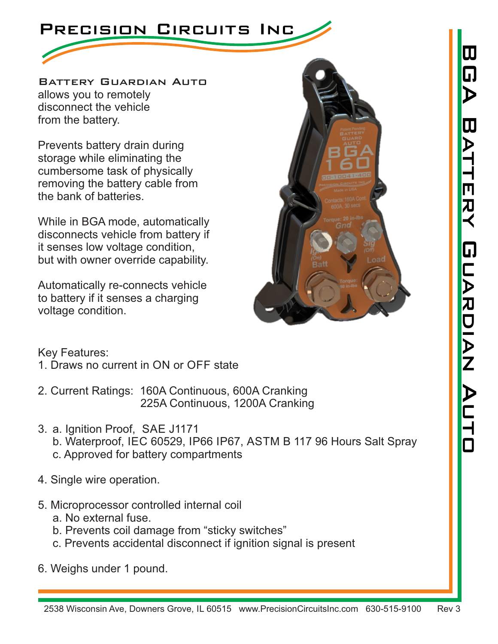

disconnect the vehicle allows you to remotely Battery Guardian Auto from the battery.

Prevents battery drain during storage while eliminating the cumbersome task of physically removing the battery cable from the bank of batteries.

While in BGA mode, automatically disconnects vehicle from battery if it senses low voltage condition, but with owner override capability.

Automatically re-connects vehicle to battery if it senses a charging voltage condition.



Key Features:

- 1. Draws no current in ON or OFF state
- 225A Continuous, 1200A Cranking 2. Current Ratings: 160A Continuous, 600A Cranking
- c. Approved for battery compartments 3. a. Ignition Proof, SAE J1171 b. Waterproof, IEC 60529, IP66 IP67, ASTM B 117 96 Hours Salt Spray
- 4. Single wire operation.
- 5. Microprocessor controlled internal coil
	- a. No external fuse.
	- b. Prevents coil damage from "sticky switches"
	- c. Prevents accidental disconnect if ignition signal is present
- 6. Weighs under 1 pound.